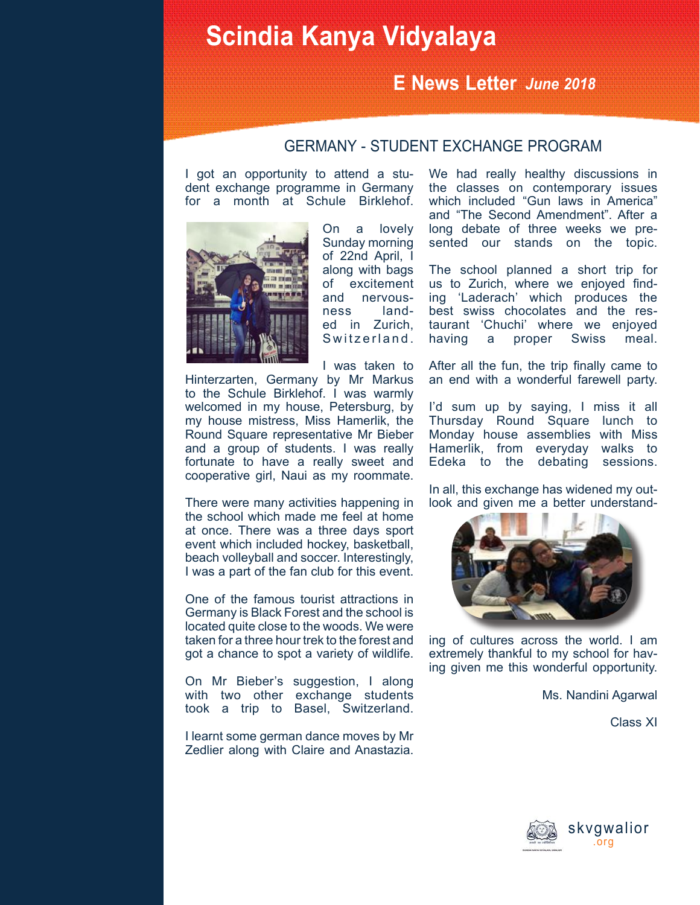## **Scindia Kanya Vidyalaya**

### **E News Letter** *June 2018*

### GERMANY - STUDENT EXCHANGE PROGRAM

I got an opportunity to attend a student exchange programme in Germany for a month at Schule Birklehof.



On a lovely Sunday morning of 22nd April, I along with bags of excitement and nervousness landed in Zurich, Switzerland.

I was taken to

Hinterzarten, Germany by Mr Markus to the Schule Birklehof. I was warmly welcomed in my house, Petersburg, by my house mistress, Miss Hamerlik, the Round Square representative Mr Bieber and a group of students. I was really fortunate to have a really sweet and cooperative girl, Naui as my roommate.

There were many activities happening in the school which made me feel at home at once. There was a three days sport event which included hockey, basketball, beach volleyball and soccer. Interestingly, I was a part of the fan club for this event.

One of the famous tourist attractions in Germany is Black Forest and the school is located quite close to the woods. We were taken for a three hour trek to the forest and got a chance to spot a variety of wildlife.

On Mr Bieber's suggestion, I along with two other exchange students took a trip to Basel, Switzerland.

I learnt some german dance moves by Mr Zedlier along with Claire and Anastazia. We had really healthy discussions in the classes on contemporary issues which included "Gun laws in America" and "The Second Amendment". After a long debate of three weeks we presented our stands on the topic.

The school planned a short trip for us to Zurich, where we enjoyed finding 'Laderach' which produces the best swiss chocolates and the restaurant 'Chuchi' where we enjoyed<br>having a proper Swiss meal. having a proper Swiss meal.

After all the fun, the trip finally came to an end with a wonderful farewell party.

I'd sum up by saying, I miss it all Thursday Round Square lunch to Monday house assemblies with Miss Hamerlik, from everyday walks to Edeka to the debating sessions.

In all, this exchange has widened my outlook and given me a better understand-



ing of cultures across the world. I am extremely thankful to my school for having given me this wonderful opportunity.

Ms. Nandini Agarwal

Class XI

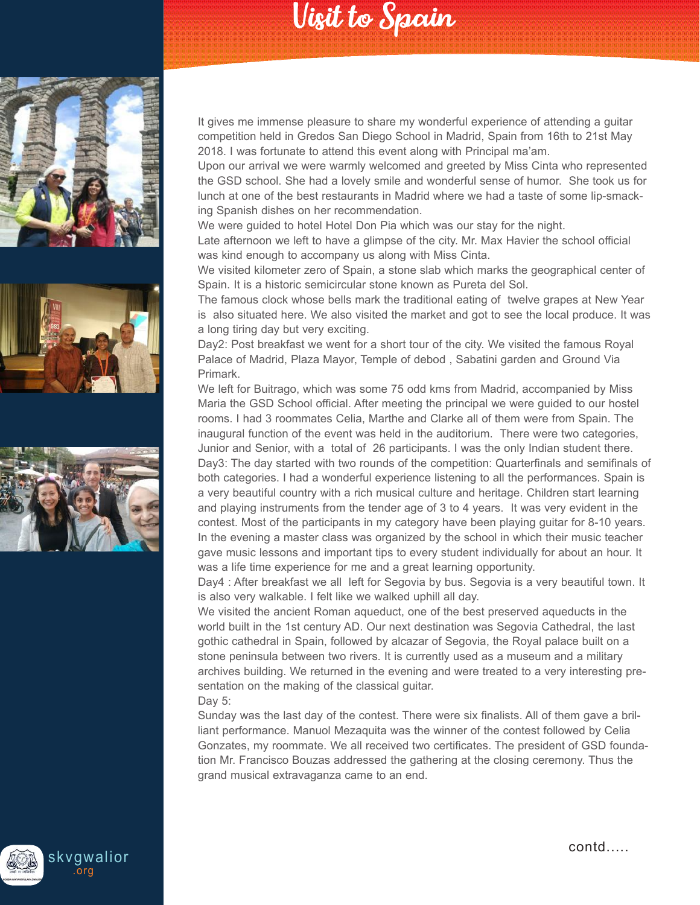# Visit to Spain







It gives me immense pleasure to share my wonderful experience of attending a guitar competition held in Gredos San Diego School in Madrid, Spain from 16th to 21st May 2018. I was fortunate to attend this event along with Principal ma'am.

Upon our arrival we were warmly welcomed and greeted by Miss Cinta who represented the GSD school. She had a lovely smile and wonderful sense of humor. She took us for lunch at one of the best restaurants in Madrid where we had a taste of some lip-smacking Spanish dishes on her recommendation.

We were guided to hotel Hotel Don Pia which was our stay for the night.

Late afternoon we left to have a glimpse of the city. Mr. Max Havier the school official was kind enough to accompany us along with Miss Cinta.

We visited kilometer zero of Spain, a stone slab which marks the geographical center of Spain. It is a historic semicircular stone known as Pureta del Sol.

The famous clock whose bells mark the traditional eating of twelve grapes at New Year is also situated here. We also visited the market and got to see the local produce. It was a long tiring day but very exciting.

Day2: Post breakfast we went for a short tour of the city. We visited the famous Royal Palace of Madrid, Plaza Mayor, Temple of debod , Sabatini garden and Ground Via Primark.

We left for Buitrago, which was some 75 odd kms from Madrid, accompanied by Miss Maria the GSD School official. After meeting the principal we were guided to our hostel rooms. I had 3 roommates Celia, Marthe and Clarke all of them were from Spain. The inaugural function of the event was held in the auditorium. There were two categories, Junior and Senior, with a total of 26 participants. I was the only Indian student there. Day3: The day started with two rounds of the competition: Quarterfinals and semifinals of both categories. I had a wonderful experience listening to all the performances. Spain is a very beautiful country with a rich musical culture and heritage. Children start learning and playing instruments from the tender age of 3 to 4 years. It was very evident in the contest. Most of the participants in my category have been playing guitar for 8-10 years. In the evening a master class was organized by the school in which their music teacher gave music lessons and important tips to every student individually for about an hour. It was a life time experience for me and a great learning opportunity.

Day4 : After breakfast we all left for Segovia by bus. Segovia is a very beautiful town. It is also very walkable. I felt like we walked uphill all day.

We visited the ancient Roman aqueduct, one of the best preserved aqueducts in the world built in the 1st century AD. Our next destination was Segovia Cathedral, the last gothic cathedral in Spain, followed by alcazar of Segovia, the Royal palace built on a stone peninsula between two rivers. It is currently used as a museum and a military archives building. We returned in the evening and were treated to a very interesting presentation on the making of the classical guitar. Day 5:

Sunday was the last day of the contest. There were six finalists. All of them gave a brilliant performance. Manuol Mezaquita was the winner of the contest followed by Celia Gonzates, my roommate. We all received two certificates. The president of GSD foundation Mr. Francisco Bouzas addressed the gathering at the closing ceremony. Thus the grand musical extravaganza came to an end.

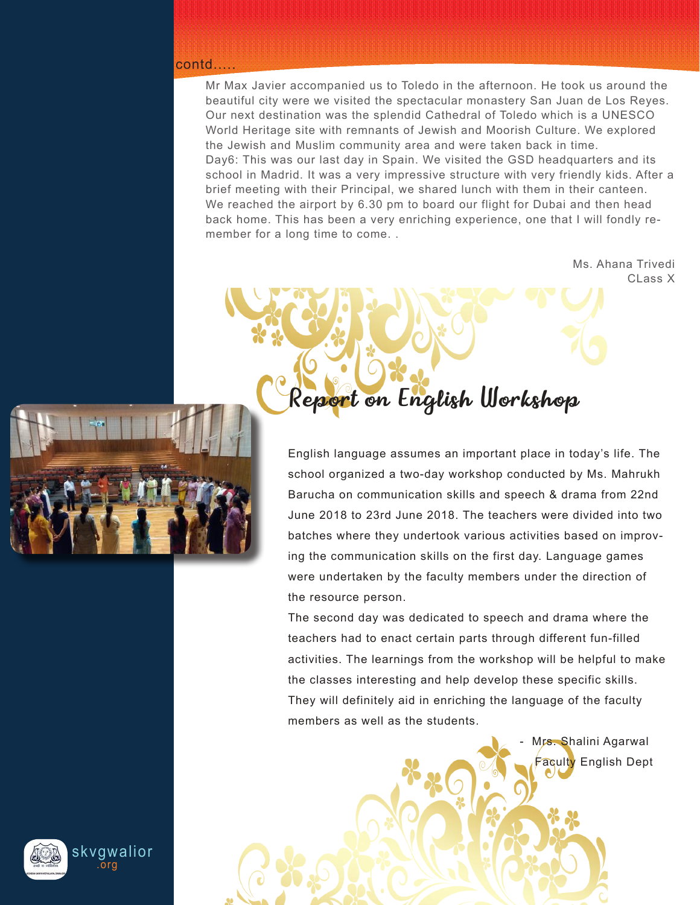#### contd.....

Mr Max Javier accompanied us to Toledo in the afternoon. He took us around the beautiful city were we visited the spectacular monastery San Juan de Los Reyes. Our next destination was the splendid Cathedral of Toledo which is a UNESCO World Heritage site with remnants of Jewish and Moorish Culture. We explored the Jewish and Muslim community area and were taken back in time. Day6: This was our last day in Spain. We visited the GSD headquarters and its school in Madrid. It was a very impressive structure with very friendly kids. After a brief meeting with their Principal, we shared lunch with them in their canteen. We reached the airport by 6.30 pm to board our flight for Dubai and then head back home. This has been a very enriching experience, one that I will fondly remember for a long time to come. .

Report on English Workshop

Ms. Ahana Trivedi CLass X



English language assumes an important place in today's life. The school organized a two-day workshop conducted by Ms. Mahrukh Barucha on communication skills and speech & drama from 22nd June 2018 to 23rd June 2018. The teachers were divided into two batches where they undertook various activities based on improving the communication skills on the first day. Language games were undertaken by the faculty members under the direction of the resource person.

The second day was dedicated to speech and drama where the teachers had to enact certain parts through different fun-filled activities. The learnings from the workshop will be helpful to make the classes interesting and help develop these specific skills. They will definitely aid in enriching the language of the faculty members as well as the students.



skvgwalior .org